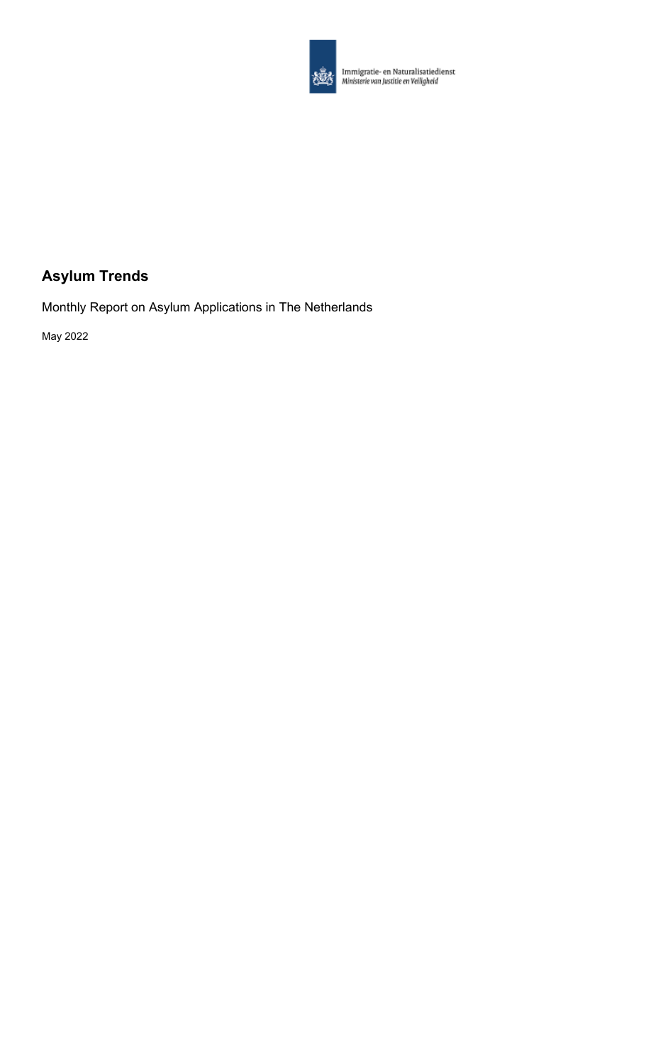

**Alle Immigratie- en Naturalisatiedienst**<br>Alle Ministerie van Justitie en Veiligheid

## **Asylum Trends**

Monthly Report on Asylum Applications in The Netherlands

May 2022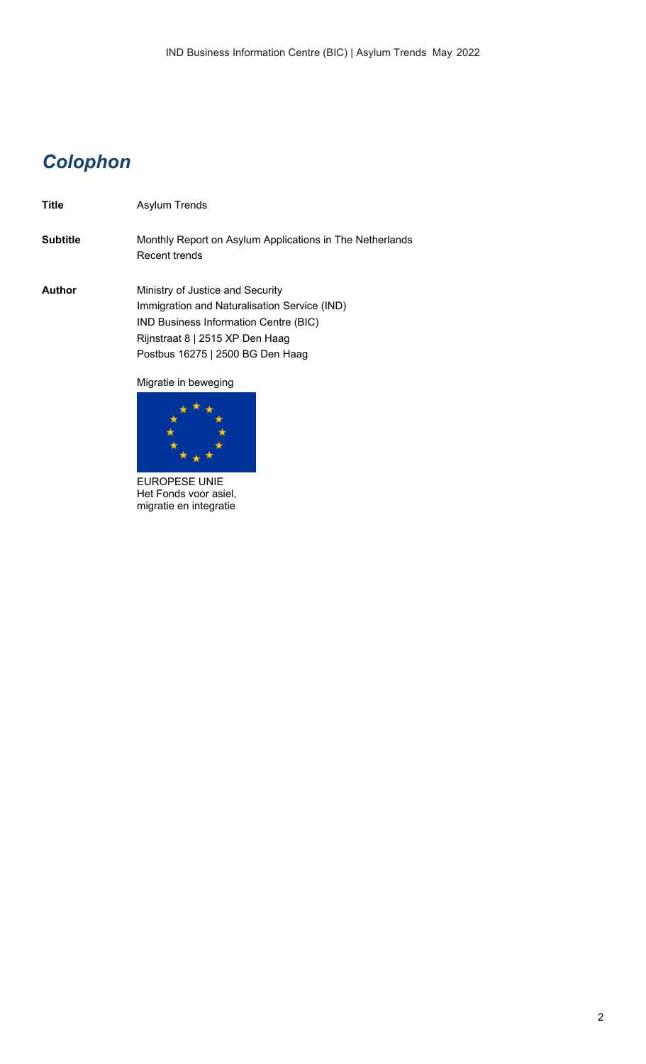## *Colophon*

**Title** Asylum Trends **Subtitle** Monthly Report on Asylum Applications in The Netherlands Recent trends **Author** Ministry of Justice and Security Immigration and Naturalisation Service (IND) IND Business Information Centre (BIC) Rijnstraat 8 | 2515 XP Den Haag Postbus 16275 | 2500 BG Den Haag Migratie in beweging



EUROPESE UNIE Het Fonds voor asiel, migratie en integratie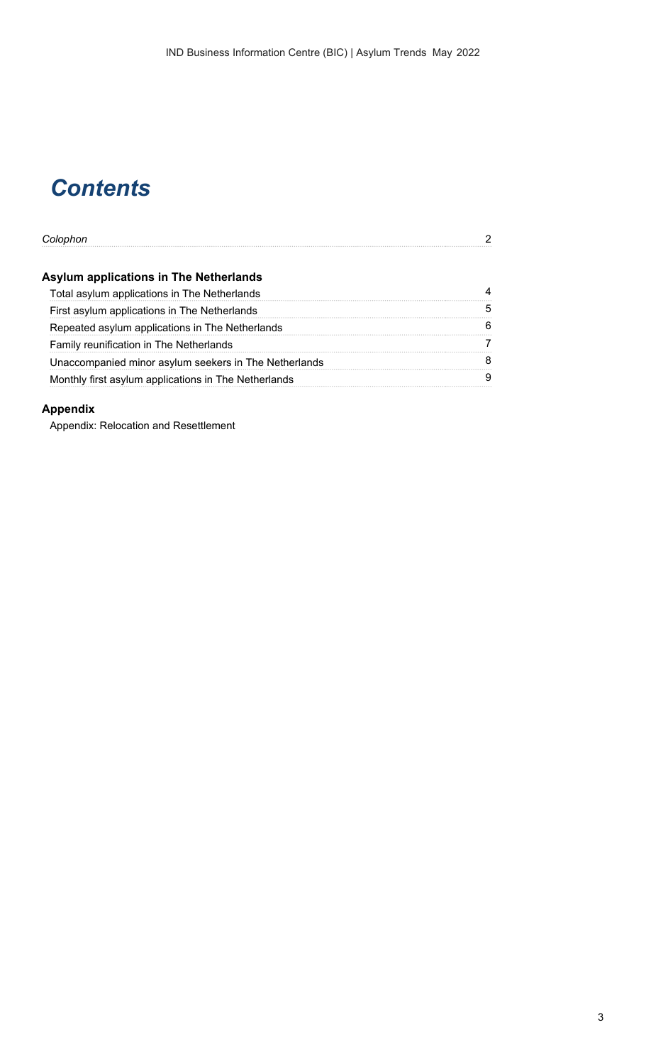# *Contents*

| Colophon                                              |   |
|-------------------------------------------------------|---|
| <b>Asylum applications in The Netherlands</b>         |   |
| Total asylum applications in The Netherlands          |   |
| First asylum applications in The Netherlands          | 5 |
| Repeated asylum applications in The Netherlands       | 6 |
| Family reunification in The Netherlands               |   |
| Unaccompanied minor asylum seekers in The Netherlands | 8 |
| Monthly first asylum applications in The Netherlands  |   |
|                                                       |   |

## **Appendix**

Appendix: Relocation and Resettlement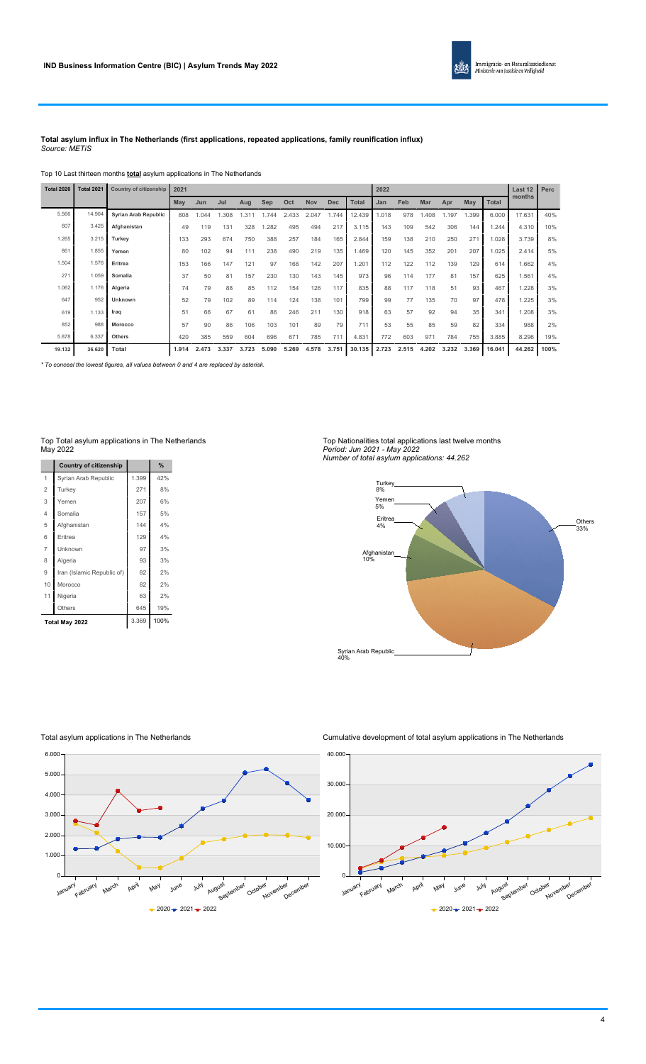

#### **Total asylum influx in The Netherlands (first applications, repeated applications, family reunification influx)** *Source: METiS*

Top 10 Last thirteen months **total** asylum applications in The Netherlands

| <b>Total 2020</b> | <b>Total 2021</b> | <b>Country of citizenship</b> | 2021  |       |       |       |       |       |       |            |              | 2022  |       |            |       |       |              | Last 12 | Perc |
|-------------------|-------------------|-------------------------------|-------|-------|-------|-------|-------|-------|-------|------------|--------------|-------|-------|------------|-------|-------|--------------|---------|------|
|                   |                   |                               | May   | Jun   | Jul   | Aug   | Sep   | Oct   | Nov   | <b>Dec</b> | <b>Total</b> | Jan   | Feb   | <b>Mar</b> | Apr   | May   | <b>Total</b> | months  |      |
| 5.566             | 14.904            | <b>Syrian Arab Republic</b>   | 808   | 1.044 | .308  | .311  | 1.744 | 2.433 | 2.047 | 1.744      | 12.439       | .018  | 978   | A08        | 1.197 | 1.399 | 6.000        | 17.631  | 40%  |
| 607               | 3.425             | Afghanistan                   | 49    | 119   | 131   | 328   | .282  | 495   | 494   | 217        | 3.115        | 143   | 109   | 542        | 306   | 144   | 1.244        | 4.310   | 10%  |
| 1.265             | 3.215             | Turkey                        | 133   | 293   | 674   | 750   | 388   | 257   | 184   | 165        | 2.844        | 159   | 138   | 210        | 250   | 271   | 1.028        | 3.739   | 8%   |
| 861               | 1.855             | Yemen                         | 80    | 102   | 94    | 111   | 238   | 490   | 219   | 135        | 1.469        | 120   | 145   | 352        | 201   | 207   | 1.025        | 2.414   | 5%   |
| 1.504             | 1.576             | Eritrea                       | 153   | 166   | 147   | 121   | 97    | 168   | 142   | 207        | .201         | 112   | 122   | 112        | 139   | 129   | 614          | 1.662   | 4%   |
| 271               | 1.059             | Somalia                       | 37    | 50    | 81    | 157   | 230   | 130   | 143   | 145        | 973          | 96    | 114   | 177        | 81    | 157   | 625          | 1.561   | 4%   |
| 1.062             | 1.176             | Algeria                       | 74    | 79    | 88    | 85    | 112   | 154   | 126   | 117        | 835          | 88    | 117   | 118        | 51    | 93    | 467          | 1.228   | 3%   |
| 647               | 952               | Unknown                       | 52    | 79    | 102   | 89    | 114   | 124   | 138   | 101        | 799          | 99    | 77    | 135        | 70    | 97    | 478          | 1.225   | 3%   |
| 619               | 1.133             | Iraq                          | 51    | 66    | 67    | 61    | 86    | 246   | 211   | 130        | 918          | 63    | 57    | 92         | 94    | 35    | 341          | 1.208   | 3%   |
| 852               | 988               | Morocco                       | 57    | 90    | 86    | 106   | 103   | 101   | 89    | 79         | 711          | 53    | 55    | 85         | 59    | 82    | 334          | 988     | 2%   |
| 5.878             | 6.337             | <b>Others</b>                 | 420   | 385   | 559   | 604   | 696   | 671   | 785   | 711        | 4.831        | 772   | 603   | 971        | 784   | 755   | 3.885        | 8.296   | 19%  |
| 19.132            | 36.620            | Total                         | 1.914 | 2.473 | 3.337 | 3.723 | 5.090 | 5.269 | 4.578 | 3.751      | 30.135       | 2.723 | 2.515 | 4.202      | 3.232 | 3.369 | 16.041       | 44.262  | 100% |

*\* To conceal the lowest figures, all values between 0 and 4 are replaced by asterisk.*

#### Top Total asylum applications in The Netherlands May 2022

|                | <b>Country of citizenship</b> |       | %    |
|----------------|-------------------------------|-------|------|
| 1              | Syrian Arab Republic          | 1.399 | 42%  |
| $\overline{2}$ | Turkey                        | 271   | 8%   |
| 3              | Yemen                         | 207   | 6%   |
| $\overline{4}$ | Somalia                       | 157   | 5%   |
| 5              | Afghanistan                   | 144   | 4%   |
| 6              | Eritrea                       | 129   | 4%   |
| 7              | Unknown                       | 97    | 3%   |
| 8              | Algeria                       | 93    | 3%   |
| 9              | Iran (Islamic Republic of)    | 82    | 2%   |
| 10             | Morocco                       | 82    | 2%   |
| 11             | Nigeria                       | 63    | 2%   |
|                | Others                        | 645   | 19%  |
|                | Total May 2022                | 3.369 | 100% |

#### Top Nationalities total applications last twelve months *Period: Jun 2021 - May 2022*





Total asylum applications in The Netherlands



Cumulative development of total asylum applications in The Netherlands

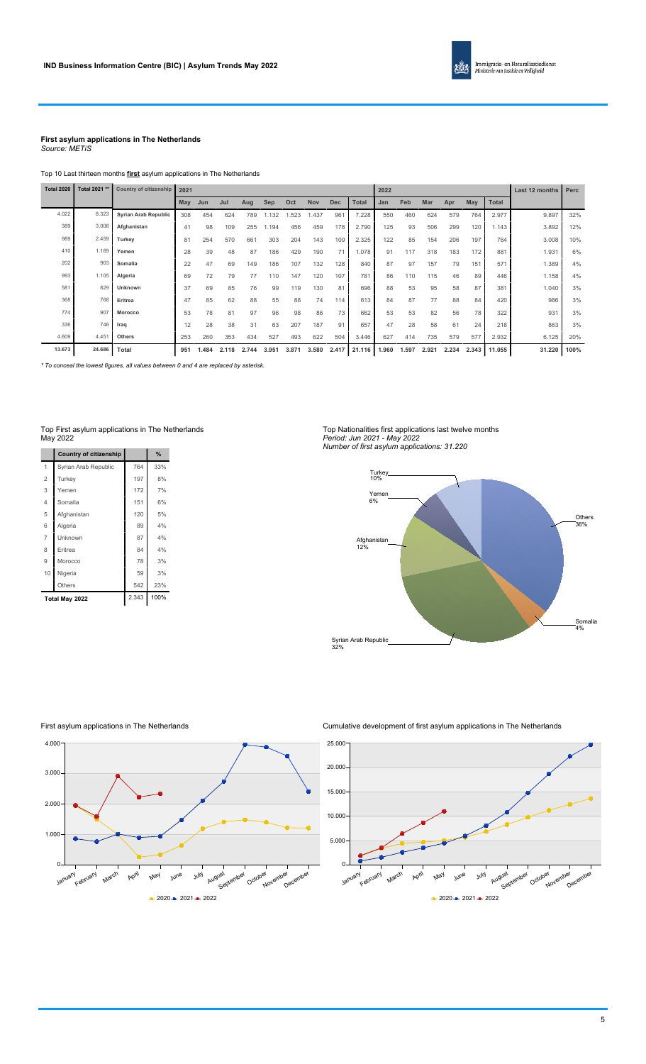

#### **First asylum applications in The Netherlands** *Source: METiS*

Top 10 Last thirteen months **first** asylum applications in The Netherlands

| <b>Total 2020</b> | Total 2021 ** | <b>Country of citizenship</b> | 2021 |       |       |       |       |       |            |            |              | 2022<br>Feb<br><b>Total</b><br>Mar<br>Apr<br><b>May</b><br>Jan<br>550<br>460<br>624<br>579<br>764<br>2.977<br>125<br>93<br>506<br>299<br>120<br>1.143<br>122<br>85<br>206<br>764<br>154<br>197<br>183<br>881<br>91<br>117<br>318<br>172<br>87<br>571<br>97<br>157<br>79<br>151<br>86<br>110<br>115<br>46<br>89<br>446<br>53<br>95<br>87<br>381<br>88<br>58<br>77<br>84<br>87<br>88<br>84<br>420<br>53<br>53<br>82<br>56<br>78<br>322<br>47<br>28<br>58<br>24<br>218<br>61<br>627<br>735<br>579<br>577<br>414<br>2.932 |       |       |       |       | Last 12 months | Perc   |      |
|-------------------|---------------|-------------------------------|------|-------|-------|-------|-------|-------|------------|------------|--------------|-----------------------------------------------------------------------------------------------------------------------------------------------------------------------------------------------------------------------------------------------------------------------------------------------------------------------------------------------------------------------------------------------------------------------------------------------------------------------------------------------------------------------|-------|-------|-------|-------|----------------|--------|------|
|                   |               |                               | May  | Jun   | Jul   | Aug   | Sep   | Oct   | <b>Nov</b> | <b>Dec</b> | <b>Total</b> |                                                                                                                                                                                                                                                                                                                                                                                                                                                                                                                       |       |       |       |       |                |        |      |
| 4.022             | 8.323         | Syrian Arab Republic          | 308  | 454   | 624   | 789   | 1.132 | 1.523 | 1.437      | 961        | 7.228        |                                                                                                                                                                                                                                                                                                                                                                                                                                                                                                                       |       |       |       |       |                | 9.897  | 32%  |
| 389               | 3.006         | Afghanistan                   | 41   | 98    | 109   | 255   | 1.194 | 456   | 459        | 178        | 2.790        |                                                                                                                                                                                                                                                                                                                                                                                                                                                                                                                       |       |       |       |       |                | 3.892  | 12%  |
| 989               | 2.459         | Turkey                        | 81   | 254   | 570   | 661   | 303   | 204   | 143        | 109        | 2.325        |                                                                                                                                                                                                                                                                                                                                                                                                                                                                                                                       |       |       |       |       |                | 3.008  | 10%  |
| 410               | 1.189         | Yemen                         | 28   | 39    | 48    | 87    | 186   | 429   | 190        | 71         | 1.078        |                                                                                                                                                                                                                                                                                                                                                                                                                                                                                                                       |       |       |       |       |                | 1.931  | 6%   |
| 202               | 903           | Somalia                       | 22   | 47    | 69    | 149   | 186   | 107   | 132        | 128        | 840          |                                                                                                                                                                                                                                                                                                                                                                                                                                                                                                                       |       |       |       |       |                | 1.389  | 4%   |
| 993               | 1.105         | Algeria                       | 69   | 72    | 79    | 77    | 110   | 147   | 120        | 107        | 781          |                                                                                                                                                                                                                                                                                                                                                                                                                                                                                                                       |       |       |       |       |                | 1.158  | 4%   |
| 581               | 829           | Unknown                       | 37   | 69    | 85    | 76    | 99    | 119   | 130        | 81         | 696          |                                                                                                                                                                                                                                                                                                                                                                                                                                                                                                                       |       |       |       |       |                | 1.040  | 3%   |
| 368               | 768           | Eritrea                       | 47   | 85    | 62    | 88    | 55    | 88    | 74         | 114        | 613          |                                                                                                                                                                                                                                                                                                                                                                                                                                                                                                                       |       |       |       |       |                | 986    | 3%   |
| 774               | 907           | <b>Morocco</b>                | 53   | 78    | 81    | 97    | 96    | 98    | 86         | 73         | 662          |                                                                                                                                                                                                                                                                                                                                                                                                                                                                                                                       |       |       |       |       |                | 931    | 3%   |
| 336               | 746           | Iraq                          | 12   | 28    | 38    | 31    | 63    | 207   | 187        | 91         | 657          |                                                                                                                                                                                                                                                                                                                                                                                                                                                                                                                       |       |       |       |       |                | 863    | 3%   |
| 4.609             | 4.451         | <b>Others</b>                 | 253  | 260   | 353   | 434   | 527   | 493   | 622        | 504        | 3.446        |                                                                                                                                                                                                                                                                                                                                                                                                                                                                                                                       |       |       |       |       |                | 6.125  | 20%  |
| 13.673            | 24.686        | <b>Total</b>                  | 951  | 1.484 | 2.118 | 2.744 | 3.951 | 3.871 | 3.580      | 2.417      | 21.116       | 1.960                                                                                                                                                                                                                                                                                                                                                                                                                                                                                                                 | 1.597 | 2.921 | 2.234 | 2.343 | 11.055         | 31.220 | 100% |

*\* To conceal the lowest figures, all values between 0 and 4 are replaced by asterisk.*

#### Top First asylum applications in The Netherlands May 2022

|                | <b>Country of citizenship</b> |       | %    |  |
|----------------|-------------------------------|-------|------|--|
| 1              | Syrian Arab Republic          | 764   | 33%  |  |
| $\overline{2}$ | Turkey                        | 197   | 8%   |  |
| 3              | Yemen                         | 172   | 7%   |  |
| $\overline{4}$ | Somalia                       | 151   | 6%   |  |
| 5              | Afghanistan                   | 120   | 5%   |  |
| 6              | Algeria                       | 89    | 4%   |  |
| 7              | Unknown                       | 87    | 4%   |  |
| 8              | Eritrea                       | 84    | 4%   |  |
| 9              | Morocco                       | 78    | 3%   |  |
| 10             | Nigeria                       | 59    | 3%   |  |
|                | Others                        | 542   | 23%  |  |
|                | Total May 2022                | 2.343 | 100% |  |

Top Nationalities first applications last twelve months *Period: Jun 2021 - May 2022*





First asylum applications in The Netherlands



Cumulative development of first asylum applications in The Netherlands

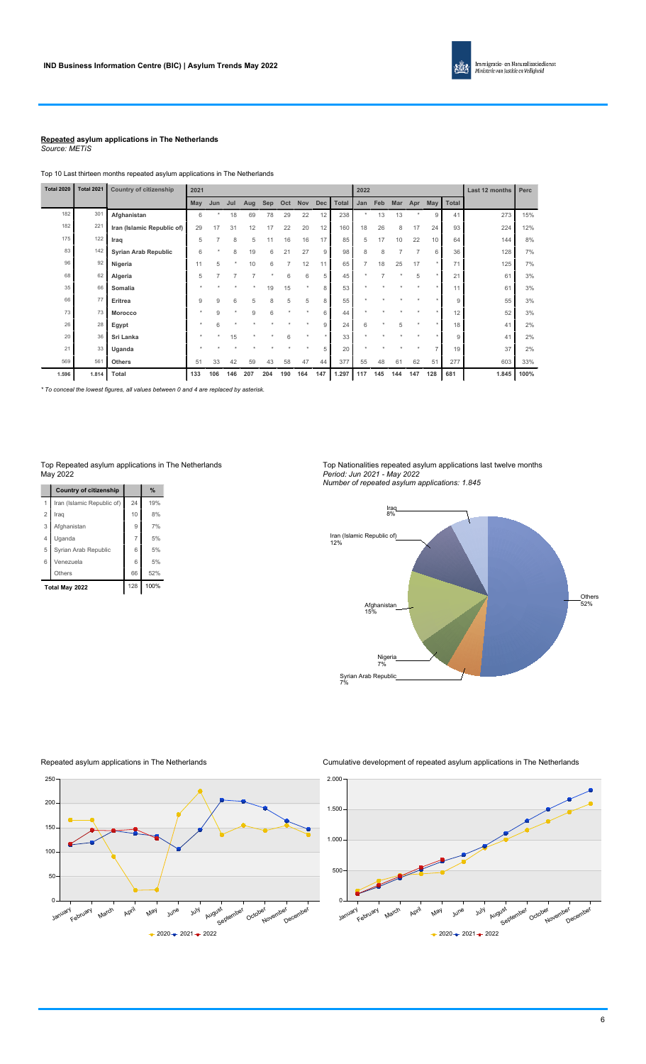#### **Repeated asylum applications in The Netherlands** *Source: METiS*

Top 10 Last thirteen months repeated asylum applications in The Netherlands

| <b>Total 2020</b> | <b>Total 2021</b> | Country of citizenship      | 2021   |                |     |     |     |         |         |            |              | 2022           |     |                |                |              |       | Last 12 months | Perc |
|-------------------|-------------------|-----------------------------|--------|----------------|-----|-----|-----|---------|---------|------------|--------------|----------------|-----|----------------|----------------|--------------|-------|----------------|------|
|                   |                   |                             |        |                |     |     |     |         |         |            |              |                |     |                |                |              |       |                |      |
|                   |                   |                             | May    | Jun            | Jul | Aug | Sep | Oct     | Nov     | <b>Dec</b> | <b>Total</b> | Jan            | Feb | Mar            | Apr            | May          | Total |                |      |
| 182               | 301               | Afghanistan                 | 6      |                | 18  | 69  | 78  | 29      | 22      | 12         | 238          | $\star$        | 13  | 13             |                | $\mathbf{Q}$ | 41    | 273            | 15%  |
| 182               | 221               | Iran (Islamic Republic of)  | 29     | 17             | 31  | 12  | 17  | 22      | 20      | 12         | 160          | 18             | 26  | 8              | 17             | 24           | 93    | 224            | 12%  |
| 175               | 122               | Iraq                        | 5      | $\overline{7}$ | 8   | 5   | 11  | 16      | 16      | 17         | 85           | 5              | 17  | 10             | 22             | 10           | 64    | 144            | 8%   |
| 83                | 142               | <b>Syrian Arab Republic</b> | 6      | $\star$        | 8   | 19  | 6   | 21      | 27      | 9          | 98           | 8              | 8   | $\overline{7}$ | $\overline{7}$ | 6            | 36    | 128            | 7%   |
| 96                | 92                | Nigeria                     | 11     | 5              |     | 10  | 6   | 7       | 12      | 11         | 65           | $\overline{7}$ | 18  | 25             | 17             |              | 71    | 125            | 7%   |
| 68                | 62                | Algeria                     | 5      | $\overline{7}$ | 7   | 7   |     | 6       | 6       | 5          | 45           |                |     |                | 5              |              | 21    | 61             | 3%   |
| 35                | 66                | Somalia                     |        |                |     |     | 19  | 15      | $\star$ | 8          | 53           |                |     |                |                |              | 11    | 61             | 3%   |
| 66                | 77                | Eritrea                     | 9      | 9              | 6   | 5   | 8   | 5       | 5       | 8          | 55           |                |     |                |                |              | 9     | 55             | 3%   |
| 73                | 73                | Morocco                     | $\sim$ | 9              |     | 9   | 6   | $\star$ |         | 6          | 44           |                |     |                |                |              | 12    | 52             | 3%   |
| 26                | 28                | Egypt                       |        | 6              |     |     |     |         |         | 9          | 24           | 6              |     | 5              |                |              | 18    | 41             | 2%   |
| 20                | 36                | Sri Lanka                   |        |                | 15  |     |     | 6       |         | ٠          | 33           |                |     |                |                |              | 9     | 41             | 2%   |
| 21                | 33                | Uganda                      |        |                |     |     |     |         |         | 5          | 20           |                |     |                |                |              | 19    | 37             | 2%   |
| 569               | 561               | <b>Others</b>               | 51     | 33             | 42  | 59  | 43  | 58      | 47      | 44         | 377          | 55             | 48  | 61             | 62             | 51           | 277   | 603            | 33%  |
| 1.596             | 1.814             | Total                       | 133    | 106            | 146 | 207 | 204 | 190     | 164     | 147        | 1.297        | 117            | 145 | 144            | 147            | 128          | 681   | 1.845          | 100% |

*\* To conceal the lowest figures, all values between 0 and 4 are replaced by asterisk.*

|                | <b>Country of citizenship</b> |     | $\%$ |
|----------------|-------------------------------|-----|------|
| 1              | Iran (Islamic Republic of)    | 24  | 19%  |
| $\overline{2}$ | Irag                          | 10  | 8%   |
| 3              | Afghanistan                   | 9   | 7%   |
| 4              | Uganda                        | 7   | 5%   |
| 5              | Syrian Arab Republic          | 6   | 5%   |
| 6              | Venezuela                     | 6   | 5%   |
|                | Others                        | 66  | 52%  |
|                | Total May 2022                | 128 | 100% |

Repeated asylum applications in The Netherlands

Top Repeated asylum applications in The Netherlands May 2022

Top Nationalities repeated asylum applications last twelve months *Period: Jun 2021 - May 2022 Number of repeated asylum applications: 1.845*





Cumulative development of repeated asylum applications in The Netherlands

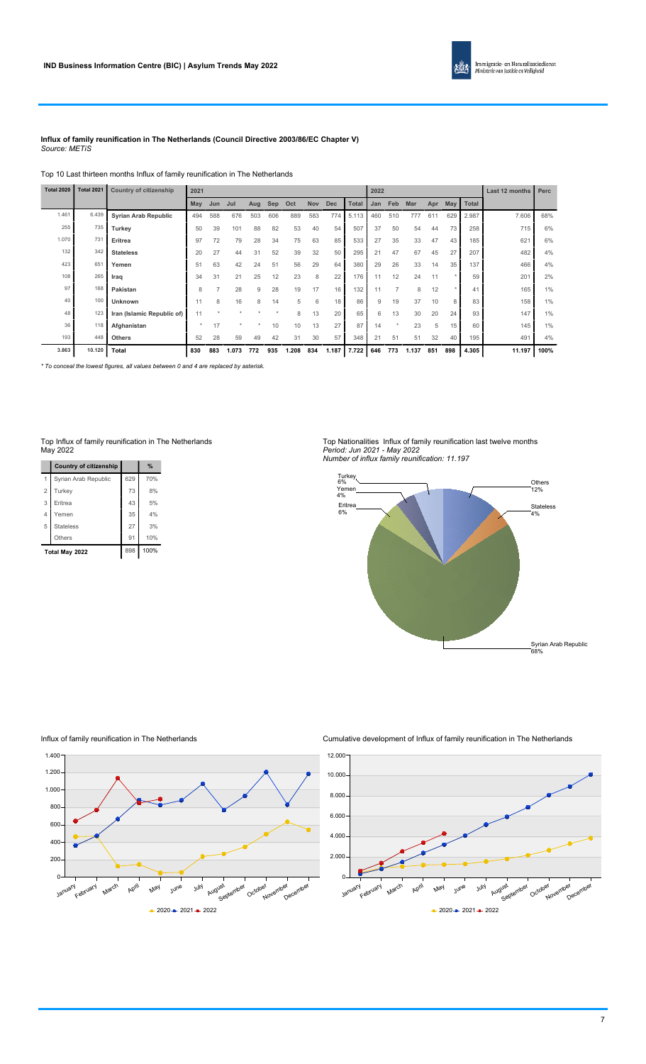

#### **Influx of family reunification in The Netherlands (Council Directive 2003/86/EC Chapter V)** *Source: METiS*

Top 10 Last thirteen months Influx of family reunification in The Netherlands

| <b>Total 2020</b> | <b>Total 2021</b> | Country of citizenship      | 2021    |                |       |     |     |       |            |            |              | 2022 |         |            |     |          |              | Last 12 months | Perc |
|-------------------|-------------------|-----------------------------|---------|----------------|-------|-----|-----|-------|------------|------------|--------------|------|---------|------------|-----|----------|--------------|----------------|------|
|                   |                   |                             | May     | Jun            | Jul   | Aug | Sep | Oct   | <b>Nov</b> | <b>Dec</b> | <b>Total</b> | Jan  | Feb     | <b>Mar</b> | Apr | May      | <b>Total</b> |                |      |
| 1.461             | 6.439             | <b>Syrian Arab Republic</b> | 494     | 588            | 676   | 503 | 606 | 889   | 583        | 774        | 5.113        | 460  | 510     | 777        | 611 | 629      | 2.987        | 7.606          | 68%  |
| 255               | 735               | Turkey                      | 50      | 39             | 101   | 88  | 82  | 53    | 40         | 54         | 507          | 37   | 50      | 54         | 44  | 73       | 258          | 715            | 6%   |
| 1.070             | 731               | Eritrea                     | 97      | 72             | 79    | 28  | 34  | 75    | 63         | 85         | 533          | 27   | 35      | 33         | 47  | 43       | 185          | 621            | 6%   |
| 132               | 342               | <b>Stateless</b>            | 20      | 27             | 44    | 31  | 52  | 39    | 32         | 50         | 295          | 21   | 47      | 67         | 45  | 27       | 207          | 482            | 4%   |
| 423               | 651               | Yemen                       | 51      | 63             | 42    | 24  | 51  | 56    | 29         | 64         | 380          | 29   | 26      | 33         | 14  | 35       | 137          | 466            | 4%   |
| 108               | 265               | Iraq                        | 34      | 31             | 21    | 25  | 12  | 23    | 8          | 22         | 176          |      | 12      | 24         | 11  | <b>A</b> | 59           | 201            | 2%   |
| 97                | 168               | Pakistan                    | 8       | $\overline{7}$ | 28    | 9   | 28  | 19    | 17         | 16         | 132          |      | 7       | 8          | 12  | $\star$  | 41           | 165            | 1%   |
| 40                | 100               | <b>Unknown</b>              |         | 8              | 16    | 8   | 14  | 5     | 6          | 18         | 86           | 9    | 19      | 37         | 10  | 8        | 83           | 158            | 1%   |
| 48                | 123               | Iran (Islamic Republic of)  | 11      |                |       |     |     | 8     | 13         | 20         | 65           | 6    | 13      | 30         | 20  | 24       | 93           | 147            | 1%   |
| 36                | 118               | Afghanistan                 | $\star$ | 17             |       |     | 10  | 10    | 13         | 27         | 87           | 14   | $\star$ | 23         | 5   | 15       | 60           | 145            | 1%   |
| 193               | 448               | <b>Others</b>               | 52      | 28             | 59    | 49  | 42  | 31    | 30         | 57         | 348          | 21   | 51      | 51         | 32  | 40       | 195          | 491            | 4%   |
| 3.863             | 10.120            | Total                       | 830     | 883            | 1.073 | 772 | 935 | 1.208 | 834        | 1.187      | 7.722        | 646  | 773     | 1.137      | 851 | 898      | 4.305        | 11.197         | 100% |

*\* To conceal the lowest figures, all values between 0 and 4 are replaced by asterisk.*

#### Top Influx of family reunification in The Netherlands May 2022

|                | <b>Country of citizenship</b> |     | $\frac{9}{6}$ |
|----------------|-------------------------------|-----|---------------|
|                | Syrian Arab Republic          | 629 | 70%           |
| $\overline{2}$ | Turkey                        | 73  | 8%            |
| 3              | Eritrea                       | 43  | 5%            |
| 4              | Yemen                         | 35  | 4%            |
| 5              | <b>Stateless</b>              | 27  | 3%            |
|                | Others                        | 91  | 10%           |
|                | Total May 2022                | 898 | 100%          |

#### Top Nationalities Influx of family reunification last twelve months *Period: Jun 2021 - May 2022 Number of influx family reunification: 11.197*



### Influx of family reunification in The Netherlands



Cumulative development of Influx of family reunification in The Netherlands

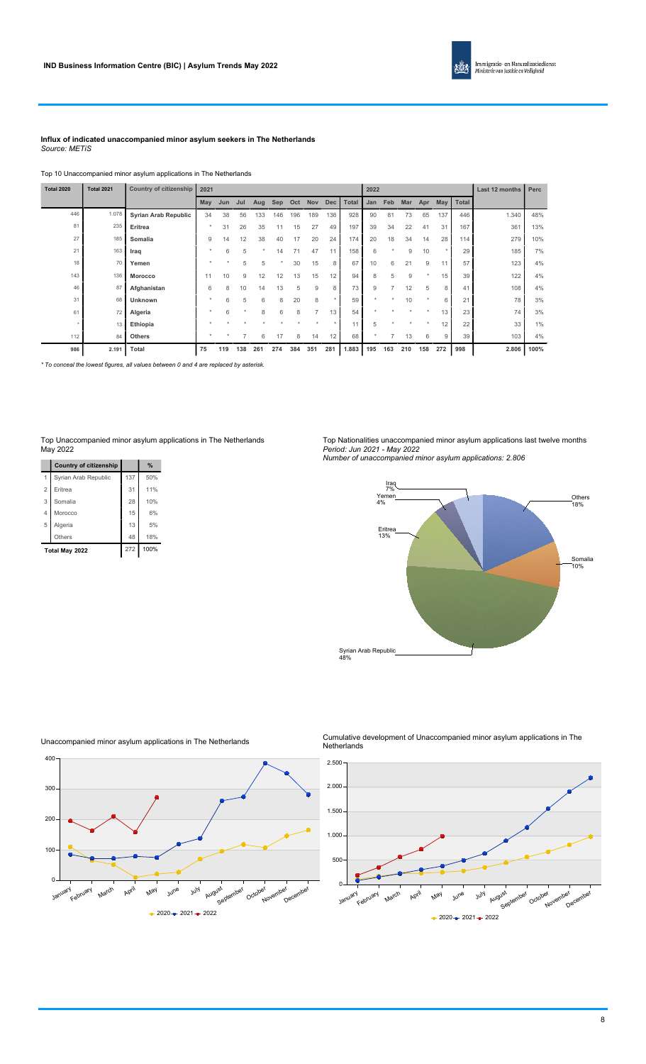

#### **Influx of indicated unaccompanied minor asylum seekers in The Netherlands** *Source: METiS*

### Top 10 Unaccompanied minor asylum applications in The Netherlands

| <b>Total 2020</b> | <b>Total 2021</b> | Country of citizenship      | 2021          |     |         |         |            |     |                |     |              | 2022    |                |         |         |     |       | Last 12 months | Perc  |
|-------------------|-------------------|-----------------------------|---------------|-----|---------|---------|------------|-----|----------------|-----|--------------|---------|----------------|---------|---------|-----|-------|----------------|-------|
|                   |                   |                             | May           | Jun | Jul     | Aug     | <b>Sep</b> | Oct | Nov Dec        |     | <b>Total</b> | Jan     | Feb            | Mar     | Apr     | May | Total |                |       |
| 446               | 1.078             | <b>Syrian Arab Republic</b> | 34            | 38  | 56      | 133     | 146        | 196 | 189            | 136 | 928          | 90      | 81             | 73      | 65      | 137 | 446   | 1.340          | 48%   |
| 81                | 235               | Eritrea                     | ٠             | 31  | 26      | 35      | 11         | 15  | 27             | 49  | 197          | 39      | 34             | 22      | 41      | 31  | 167   | 361            | 13%   |
| 27                | 185               | Somalia                     | 9             | 14  | 12      | 38      | 40         | 17  | 20             | 24  | 174          | 20      | 18             | 34      | 14      | 28  | 114   | 279            | 10%   |
| 21                | 163               | Iraq                        |               | 6   | 5       | $\star$ | 14         | 71  | 47             | 11  | 158          | 6       | $\star$        | 9       | 10      |     | 29    | 185            | 7%    |
| 18                | 70                | Yemen                       |               |     | 5       | 5       | $\star$    | 30  | 15             | 8   | 67           | 10      | 6              | 21      | 9       | 11  | 57    | 123            | 4%    |
| 143               | 136               | <b>Morocco</b>              | 11            | 10  | 9       | 12      | 12         | 13  | 15             | 12  | 94           | 8       | 5              | 9       |         | 15  | 39    | 122            | 4%    |
| 46                | 87                | Afghanistan                 | 6             | 8   | 10      | 14      | 13         | 5   | 9              | 8   | 73           | 9       | $\overline{7}$ | 12      | 5       | 8   | 41    | 108            | 4%    |
| 31                | 68                | Unknown                     | $\rightarrow$ | 6   | 5       | 6       | 8          | 20  | 8              |     | 59           | $\star$ |                | 10      |         | 6   | 21    | 78             | 3%    |
| 61                | 72                | Algeria                     |               | 6   | $\star$ | 8       | 6          | 8   | $\overline{ }$ | 13  | 54           |         |                |         |         | 13  | 23    | 74             | 3%    |
|                   | 13                | Ethiopia                    |               |     |         |         |            |     |                |     | 11           | 5       | $\star$        | $\star$ | $\star$ | 12  | 22    | 33             | $1\%$ |
| 112               | 84                | <b>Others</b>               |               |     | 7       | 6       | 17         | 8   | 14             | 12  | 68           | $\star$ | $\overline{7}$ | 13      | 6       | 9   | 39    | 103            | 4%    |
| 986               | 2.191             | Total                       | 75            | 119 | 138     | 261     | 274        | 384 | 351            | 281 | 1.883        | 195     | 163            | 210     | 158     | 272 | 998   | 2.806          | 100%  |

*\* To conceal the lowest figures, all values between 0 and 4 are replaced by asterisk.*

#### Top Unaccompanied minor asylum applications in The Netherlands May 2022

|                | <b>Country of citizenship</b> |     | %    |
|----------------|-------------------------------|-----|------|
| 1              | Syrian Arab Republic          | 137 | 50%  |
| $\overline{2}$ | Eritrea                       | 31  | 11%  |
| 3              | Somalia                       | 28  | 10%  |
| 4              | Morocco                       | 15  | 6%   |
| 5              | Algeria                       | 13  | 5%   |
|                | Others                        | 48  | 18%  |
|                | Total May 2022                | 272 | 100% |

#### Top Nationalities unaccompanied minor asylum applications last twelve months *Period: Jun 2021 - May 2022*

*Number of unaccompanied minor asylum applications: 2.806*





Unaccompanied minor asylum applications in The Netherlands

#### Cumulative development of Unaccompanied minor asylum applications in The Netherlands

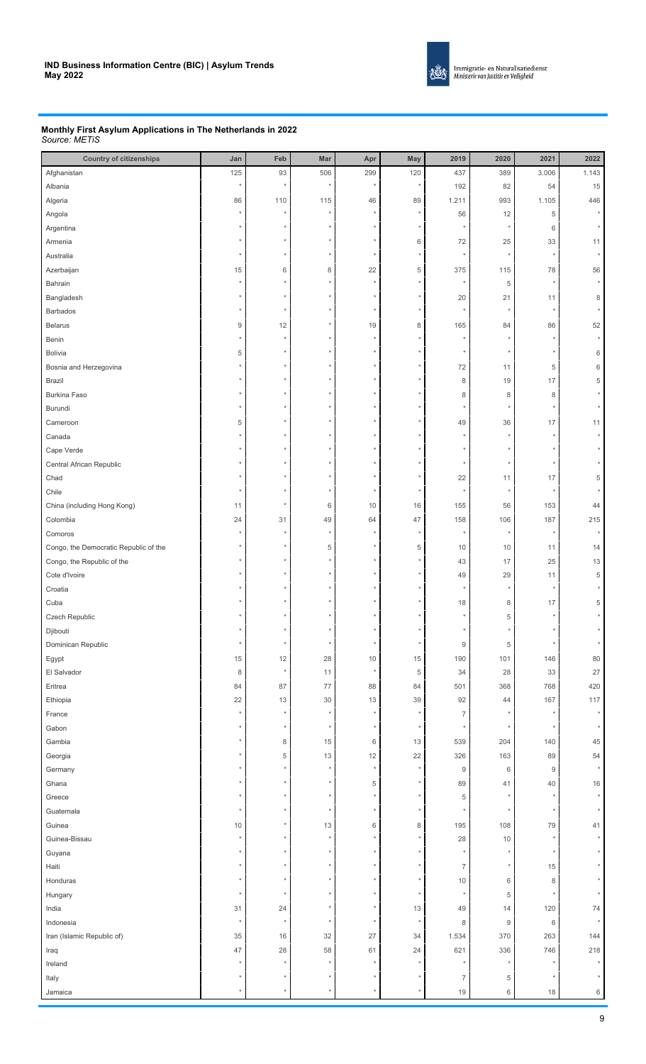

#### **Monthly First Asylum Applications in The Netherlands in 2022** *Source: METiS*

| <b>Country of citizenships</b>        | Jan     | Feb           | Mar      | Apr             | May         | 2019             | 2020             | 2021             | 2022            |
|---------------------------------------|---------|---------------|----------|-----------------|-------------|------------------|------------------|------------------|-----------------|
| Afghanistan                           | 125     | 93            | 506      | 299             | 120         | 437              | 389              | 3.006            | 1.143           |
| Albania                               |         |               | $\star$  |                 | ×           | 192              | 82               | 54               | 15              |
| Algeria                               | 86      | 110           | 115      | 46              | 89          | 1.211            | 993              | 1.105            | 446             |
| Angola                                |         |               |          |                 | ×           | 56               | 12               | 5                | $^\star$        |
| Argentina                             |         |               |          |                 |             |                  |                  | 6                |                 |
| Armenia                               |         |               |          |                 | $\,6$       | 72               | 25               | 33               | 11              |
| Australia                             |         |               |          |                 | ÷           |                  |                  |                  |                 |
| Azerbaijan                            | 15      | 6             | 8        | 22              | $\,$ 5 $\,$ | 375              | 115              | 78               | 56              |
| Bahrain                               |         |               |          |                 |             |                  | 5                |                  | $\star$         |
| Bangladesh                            |         |               |          |                 |             | 20               | 21               | 11               | 8               |
| <b>Barbados</b>                       |         |               |          |                 |             |                  |                  |                  |                 |
| <b>Belarus</b>                        | 9       | 12            |          | 19              | 8           | 165              | 84               | 86               | 52              |
| Benin                                 |         |               |          |                 |             |                  |                  |                  |                 |
| <b>Bolivia</b>                        | 5       |               |          |                 |             |                  |                  |                  | 6               |
| Bosnia and Herzegovina                |         |               |          |                 |             | 72               | 11               | 5                | 6               |
| Brazil                                |         |               |          |                 |             | 8                | 19               | 17               | 5               |
| <b>Burkina Faso</b>                   |         |               |          |                 |             | 8                | 8                | 8                |                 |
| Burundi                               |         |               |          |                 |             |                  |                  |                  |                 |
| Cameroon                              | 5       |               |          |                 |             | 49               | 36               | 17               | 11              |
| Canada                                |         |               |          |                 |             |                  |                  |                  |                 |
| Cape Verde                            |         |               |          |                 |             |                  |                  |                  |                 |
| Central African Republic              |         |               |          |                 |             |                  |                  |                  |                 |
| Chad                                  |         |               |          |                 |             | 22               |                  |                  | 5               |
|                                       |         |               |          |                 |             |                  | 11               | 17               |                 |
| Chile                                 |         |               |          |                 |             |                  |                  |                  |                 |
| China (including Hong Kong)           | 11      |               | 6        | 10              | 16          | 155              | 56               | 153              | 44              |
| Colombia                              | 24      | 31            | 49       | 64              | 47          | 158              | 106              | 187              | 215             |
| Comoros                               |         |               |          |                 |             |                  |                  |                  |                 |
| Congo, the Democratic Republic of the |         |               | 5        |                 | 5           | 10               | 10               | 11               | 14              |
| Congo, the Republic of the            |         |               |          |                 |             | 43               | 17               | 25               | 13              |
| Cote d'Ivoire                         |         |               |          |                 |             | 49               | 29               | 11               | 5               |
| Croatia                               |         |               |          |                 |             |                  |                  |                  |                 |
| Cuba                                  |         |               |          |                 |             | 18               | 8                | 17               | 5               |
| Czech Republic                        |         |               |          |                 |             |                  | 5                |                  |                 |
| Djibouti                              |         |               | $^\star$ | $\star$         | $\star$     |                  |                  |                  |                 |
| Dominican Republic                    |         |               |          |                 |             | $\boldsymbol{9}$ | $\,$ 5 $\,$      |                  |                 |
| Egypt                                 | 15      | 12<br>$\star$ | $28\,$   | $10$<br>$\star$ | $15\,$      | 190              | 101              | 146              | 80              |
| El Salvador                           | 8       |               | 11       |                 | $\,$ 5 $\,$ | 34               | 28               | 33               | 27              |
| Eritrea                               | 84      | 87            | 77       | 88              | 84          | 501              | 368              | 768              | 420             |
| Ethiopia                              | 22      | 13            | 30       | $13$            | 39          | 92               | 44               | 167              | 117<br>$^\star$ |
| France                                |         |               |          |                 |             | $\overline{7}$   |                  | $\star$          |                 |
| Gabon                                 |         |               | $\star$  |                 | ÷           |                  |                  |                  |                 |
| Gambia                                |         | $\,8\,$       | 15       | $6\,$           | 13          | 539              | 204              | 140              | 45              |
| Georgia                               |         | 5             | 13       | 12              | 22          | 326              | 163              | 89               | 54              |
| Germany                               |         |               |          |                 |             | $\boldsymbol{9}$ | 6                | $\boldsymbol{9}$ |                 |
| Ghana                                 |         |               |          | $\,$ 5 $\,$     |             | 89               | 41               | 40               | 16              |
| Greece                                |         |               |          |                 |             | 5                |                  |                  |                 |
| Guatemala                             |         |               |          |                 |             |                  |                  |                  |                 |
| Guinea                                | 10      |               | 13       | 6               | $\,8\,$     | 195              | 108              | 79               | 41              |
| Guinea-Bissau                         |         |               |          |                 |             | 28               | 10               |                  |                 |
| Guyana                                |         |               |          |                 |             |                  |                  |                  |                 |
| Haiti                                 |         |               |          |                 |             | $\overline{7}$   |                  | 15               |                 |
| Honduras                              |         |               |          |                 |             | 10               | 6                | 8                |                 |
| Hungary                               |         |               |          |                 |             |                  | 5                |                  |                 |
| India                                 | 31      | 24            |          |                 | 13          | 49               | 14               | 120              | 74              |
| Indonesia                             | $\star$ | $\star$       |          |                 | $\star$     | 8                | $\boldsymbol{9}$ | $\,6\,$          |                 |
| Iran (Islamic Republic of)            | 35      | 16            | $32\,$   | 27              | 34          | 1.534            | 370              | 263              | 144             |
| Iraq                                  | 47      | 28            | 58       | 61              | 24          | 621              | 336              | 746              | 218             |
| Ireland                               |         |               |          |                 |             |                  |                  |                  | $^\star$        |
| Italy                                 |         |               |          |                 |             | $\overline{7}$   | 5                | $\star$          |                 |
| Jamaica                               |         |               |          |                 | $\star$     | 19               | 6                | 18               | 6               |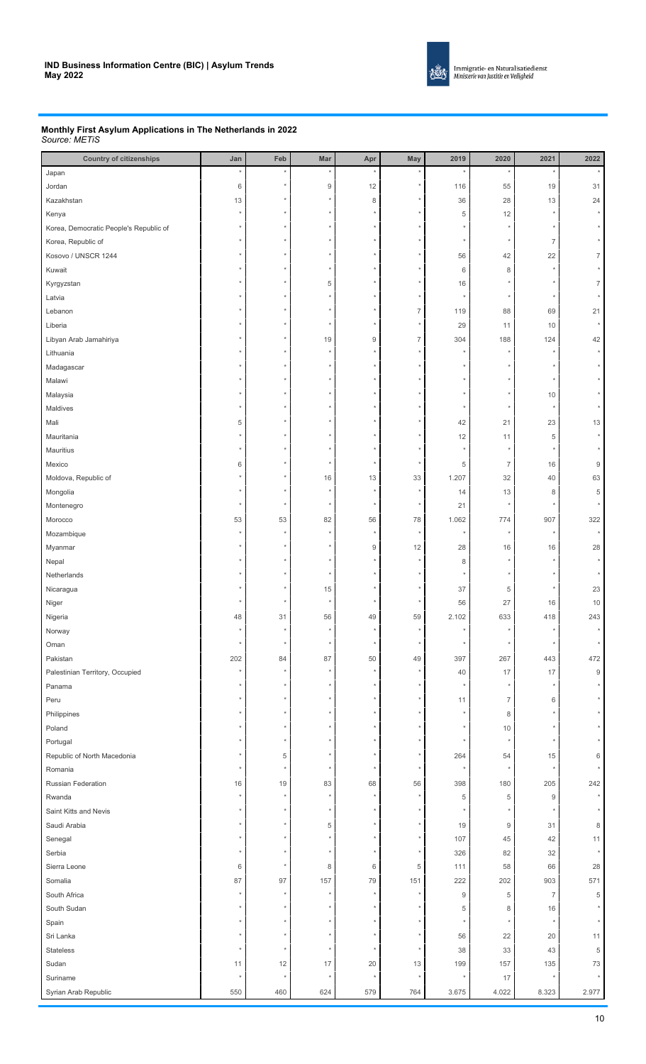

#### **Monthly First Asylum Applications in The Netherlands in 2022** *Source: METiS*

| <b>Country of citizenships</b>         | Jan        | Feb     | Mar              | Apr              | May            | 2019             | 2020             | 2021             | 2022             |
|----------------------------------------|------------|---------|------------------|------------------|----------------|------------------|------------------|------------------|------------------|
| Japan                                  |            |         |                  |                  |                |                  |                  |                  |                  |
| Jordan                                 | 6          |         | $\boldsymbol{9}$ | 12               |                | 116              | 55               | 19               | 31               |
| Kazakhstan                             | 13         |         |                  | $\,8\,$          |                | 36               | 28               | 13               | 24               |
| Kenya                                  |            |         |                  |                  |                | 5                | 12               |                  |                  |
| Korea, Democratic People's Republic of |            |         |                  |                  |                |                  |                  |                  |                  |
| Korea, Republic of                     |            |         |                  |                  |                |                  |                  | $\overline{7}$   |                  |
| Kosovo / UNSCR 1244                    |            |         |                  |                  |                | 56               | 42               | 22               | $\overline{7}$   |
| Kuwait                                 |            |         |                  |                  |                | 6                | 8                |                  |                  |
| Kyrgyzstan                             |            |         | 5                |                  |                | 16               |                  |                  | 7                |
| Latvia                                 |            |         |                  |                  |                |                  |                  |                  |                  |
| Lebanon                                |            |         |                  |                  | $\overline{7}$ | 119              | 88               | 69               | 21               |
| Liberia                                |            |         |                  |                  |                | 29               | 11               | 10               | $\star$          |
| Libyan Arab Jamahiriya                 |            |         | 19               | $\boldsymbol{9}$ | $\overline{7}$ | 304              | 188              | 124              | 42               |
| Lithuania                              |            |         |                  |                  |                |                  |                  |                  | $^\star$         |
| Madagascar                             |            |         |                  |                  |                |                  |                  |                  |                  |
| Malawi                                 |            |         |                  |                  |                |                  |                  |                  |                  |
| Malaysia                               |            |         |                  |                  |                |                  |                  | 10               |                  |
| Maldives                               |            |         |                  |                  |                |                  |                  |                  |                  |
| Mali                                   | 5          |         |                  |                  |                | 42               | 21               | 23               | 13               |
|                                        |            |         |                  |                  |                |                  |                  |                  |                  |
| Mauritania                             |            |         |                  |                  |                | 12               | 11               | 5                |                  |
| Mauritius                              |            |         |                  |                  |                |                  |                  |                  |                  |
| Mexico                                 | 6          |         |                  |                  |                | 5                | $\overline{7}$   | 16               | $\boldsymbol{9}$ |
| Moldova, Republic of                   |            |         | $16$             | 13               | 33             | 1.207            | 32               | 40               | 63               |
| Mongolia                               |            |         |                  |                  |                | 14               | 13               | 8                | 5                |
| Montenegro                             |            |         |                  |                  |                | 21               |                  |                  |                  |
| Morocco                                | 53         | 53      | 82               | 56               | 78             | 1.062            | 774              | 907              | 322              |
| Mozambique                             |            |         |                  |                  |                |                  |                  |                  |                  |
| Myanmar                                |            |         |                  | $9\,$            | 12             | 28               | 16               | 16               | 28               |
| Nepal                                  |            |         |                  |                  |                | 8                |                  |                  |                  |
| Netherlands                            |            |         |                  |                  |                |                  |                  |                  |                  |
| Nicaragua                              |            |         | 15               |                  |                | 37               | 5                |                  | 23               |
| Niger                                  |            |         |                  |                  |                | 56               | 27               | 16               | 10               |
| Nigeria                                | 48         | 31      | 56               | 49               | 59             | 2.102            | 633              | 418              | 243              |
| Norway                                 |            |         |                  |                  |                |                  |                  |                  |                  |
| Oman                                   | $^{\star}$ | $\star$ | $\star$          | $\star$          | $\star$        | $\star$          |                  |                  |                  |
| Pakistan                               | 202        | 84      | 87               | 50               | 49             | 397              | 267              | 443              | 472              |
| Palestinian Territory, Occupied        |            |         |                  |                  |                | 40               | 17               | 17               | $\hbox{9}$       |
| Panama                                 |            |         |                  |                  |                |                  |                  |                  |                  |
| Peru                                   |            |         |                  |                  |                | 11               | $\overline{7}$   | 6                |                  |
| Philippines                            |            |         |                  |                  |                |                  | 8                |                  |                  |
| Poland                                 |            |         |                  |                  |                |                  | 10               |                  |                  |
| Portugal                               |            |         |                  |                  |                |                  |                  |                  |                  |
| Republic of North Macedonia            |            | 5       |                  |                  |                | 264              | 54               | 15               | 6                |
| Romania                                |            |         |                  |                  |                |                  |                  |                  |                  |
| Russian Federation                     | 16         | 19      | 83               | 68               | 56             | 398              | 180              | 205              | 242              |
| Rwanda                                 | $\star$    |         |                  |                  |                | 5                | 5                | $\boldsymbol{9}$ | $\star$          |
| Saint Kitts and Nevis                  |            |         |                  |                  |                |                  |                  |                  |                  |
| Saudi Arabia                           |            |         | 5                |                  |                | 19               | $\boldsymbol{9}$ | 31               | 8                |
| Senegal                                |            |         |                  |                  |                | 107              | 45               | 42               | 11               |
| Serbia                                 |            |         |                  |                  |                | 326              | 82               | 32               |                  |
| Sierra Leone                           | 6          |         | 8                | 6                | 5              | 111              | 58               | 66               | 28               |
| Somalia                                | 87         | 97      | 157              | 79               | 151            | 222              | 202              | 903              | 571              |
| South Africa                           |            |         |                  |                  |                | $\boldsymbol{9}$ | 5                | $\overline{7}$   | 5                |
| South Sudan                            |            |         |                  |                  |                | 5                | 8                | 16               |                  |
| Spain                                  |            |         |                  |                  |                |                  |                  |                  |                  |
| Sri Lanka                              |            |         |                  |                  |                | 56               | 22               | 20               | 11               |
| Stateless                              |            |         |                  |                  |                | 38               | 33               | 43               | 5                |
| Sudan                                  | 11         | 12      | 17               | 20               | 13             | 199              | 157              | 135              | 73               |
| Suriname                               |            | $\star$ |                  |                  |                | $\star$          | 17               | $\star$          |                  |
|                                        |            |         |                  |                  |                |                  |                  |                  |                  |
| Syrian Arab Republic                   | 550        | 460     | 624              | 579              | 764            | 3.675            | 4.022            | 8.323            | 2.977            |